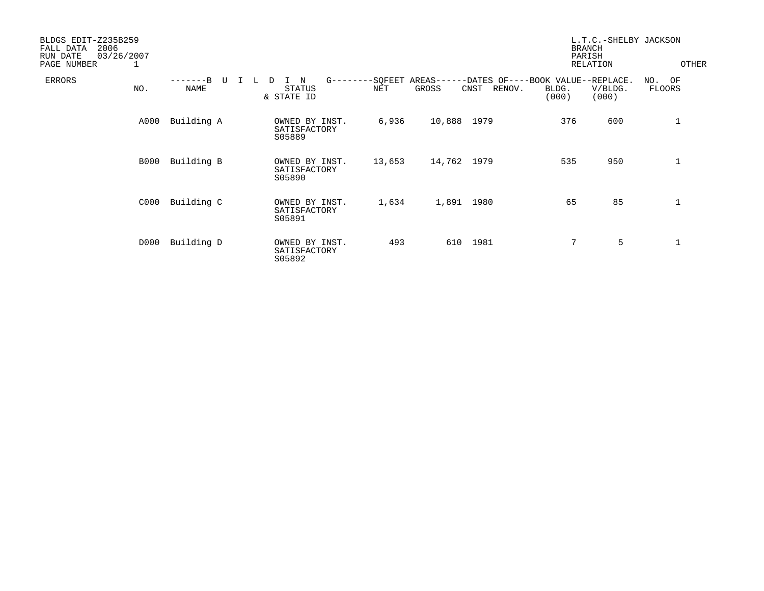| BLDGS EDIT-Z235B259<br>2006<br>FALL DATA<br>03/26/2007<br>RUN DATE<br>PAGE NUMBER | 1    |                      |        |                                          |            |                    |                     |                |                                                     | L.T.C.-SHELBY JACKSON<br><b>BRANCH</b><br>PARISH<br>RELATION |                            | OTHER |
|-----------------------------------------------------------------------------------|------|----------------------|--------|------------------------------------------|------------|--------------------|---------------------|----------------|-----------------------------------------------------|--------------------------------------------------------------|----------------------------|-------|
| ERRORS                                                                            | NO.  | $---B$<br>ŢJ<br>NAME | L<br>D | N<br>STATUS<br>& STATE ID                | $G$ ------ | $--$ SQFEET<br>NET | $AREAS---$<br>GROSS | RENOV.<br>CNST | -DATES OF----BOOK VALUE--REPLACE.<br>BLDG.<br>(000) | V/BLDG.<br>(000)                                             | OF<br>NO.<br><b>FLOORS</b> |       |
|                                                                                   | A000 | Building A           |        | OWNED BY INST.<br>SATISFACTORY<br>S05889 |            | 6,936              | 10,888 1979         |                | 376                                                 | 600                                                          | 1                          |       |
|                                                                                   | B000 | Building B           |        | OWNED BY INST.<br>SATISFACTORY<br>S05890 |            | 13,653             | 14,762 1979         |                | 535                                                 | 950                                                          | $\mathbf 1$                |       |
|                                                                                   | C000 | Building C           |        | OWNED BY INST.<br>SATISFACTORY<br>S05891 |            | 1,634              |                     | 1,891 1980     | 65                                                  | 85                                                           | $\mathbf 1$                |       |
|                                                                                   | D000 | Building D           |        | OWNED BY INST.<br>SATISFACTORY<br>S05892 |            | 493                | 610                 | 1981           | $7\phantom{.}$                                      | 5                                                            | $\mathbf 1$                |       |